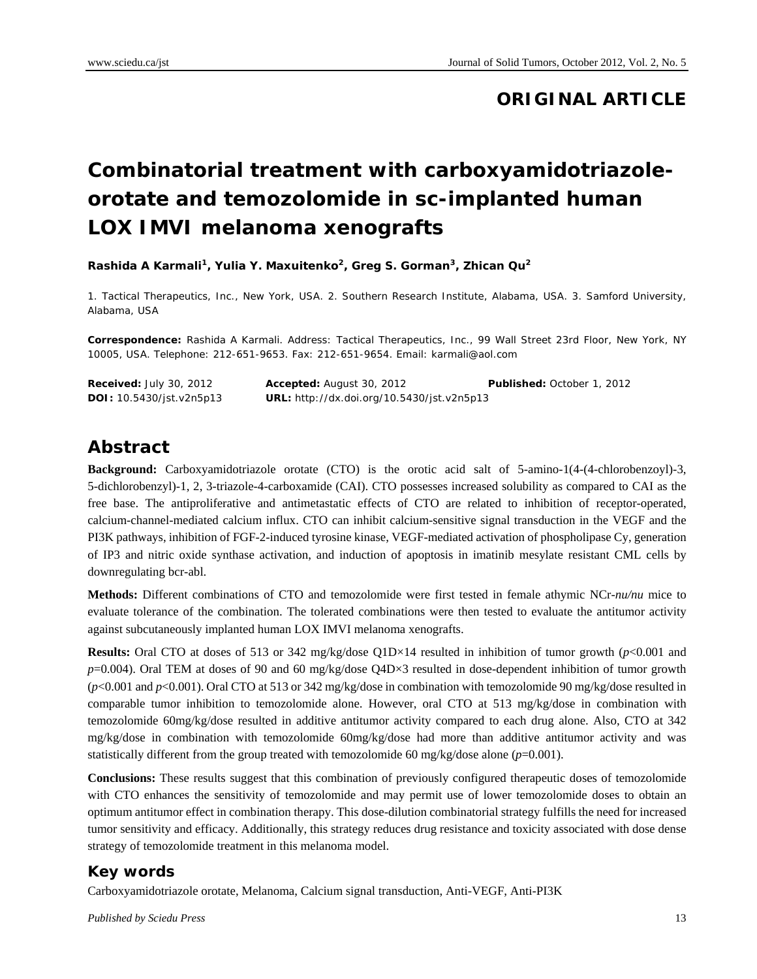## **ORIGINAL ARTICLE**

# **Combinatorial treatment with carboxyamidotriazoleorotate and temozolomide in sc-implanted human LOX IMVI melanoma xenografts**

**Rashida A Karmali1, Yulia Y. Maxuitenko2, Greg S. Gorman3, Zhican Qu2**

1. Tactical Therapeutics, Inc., New York, USA. 2. Southern Research Institute, Alabama, USA. 3. Samford University, Alabama, USA

**Correspondence:** Rashida A Karmali. Address: Tactical Therapeutics, Inc., 99 Wall Street 23rd Floor, New York, NY 10005, USA. Telephone: 212-651-9653. Fax: 212-651-9654. Email: karmali@aol.com

| <b>Received: July 30, 2012</b>     | Accepted: August 30, 2012                         | Published: October 1, 2012 |
|------------------------------------|---------------------------------------------------|----------------------------|
| <b>DOI</b> : $10.5430/jst.v2n5p13$ | <b>URL:</b> http://dx.doi.org/10.5430/jst.v2n5p13 |                            |

## **Abstract**

**Background:** Carboxyamidotriazole orotate (CTO) is the orotic acid salt of 5-amino-1(4-(4-chlorobenzoyl)-3, 5-dichlorobenzyl)-1, 2, 3-triazole-4-carboxamide (CAI). CTO possesses increased solubility as compared to CAI as the free base. The antiproliferative and antimetastatic effects of CTO are related to inhibition of receptor-operated, calcium-channel-mediated calcium influx. CTO can inhibit calcium-sensitive signal transduction in the VEGF and the PI3K pathways, inhibition of FGF-2-induced tyrosine kinase, VEGF-mediated activation of phospholipase Cy, generation of IP3 and nitric oxide synthase activation, and induction of apoptosis in imatinib mesylate resistant CML cells by downregulating bcr-abl.

**Methods:** Different combinations of CTO and temozolomide were first tested in female athymic NCr-*nu/nu* mice to evaluate tolerance of the combination. The tolerated combinations were then tested to evaluate the antitumor activity against subcutaneously implanted human LOX IMVI melanoma xenografts.

**Results:** Oral CTO at doses of 513 or 342 mg/kg/dose Q1D×14 resulted in inhibition of tumor growth (*p*<0.001 and *p*=0.004). Oral TEM at doses of 90 and 60 mg/kg/dose O4D×3 resulted in dose-dependent inhibition of tumor growth (*p*<0.001 and *p*<0.001). Oral CTO at 513 or 342 mg/kg/dose in combination with temozolomide 90 mg/kg/dose resulted in comparable tumor inhibition to temozolomide alone. However, oral CTO at 513 mg/kg/dose in combination with temozolomide 60mg/kg/dose resulted in additive antitumor activity compared to each drug alone. Also, CTO at 342 mg/kg/dose in combination with temozolomide 60mg/kg/dose had more than additive antitumor activity and was statistically different from the group treated with temozolomide 60 mg/kg/dose alone (*p*=0.001).

**Conclusions:** These results suggest that this combination of previously configured therapeutic doses of temozolomide with CTO enhances the sensitivity of temozolomide and may permit use of lower temozolomide doses to obtain an optimum antitumor effect in combination therapy. This dose-dilution combinatorial strategy fulfills the need for increased tumor sensitivity and efficacy. Additionally, this strategy reduces drug resistance and toxicity associated with dose dense strategy of temozolomide treatment in this melanoma model.

### **Key words**

Carboxyamidotriazole orotate, Melanoma, Calcium signal transduction, Anti-VEGF, Anti-PI3K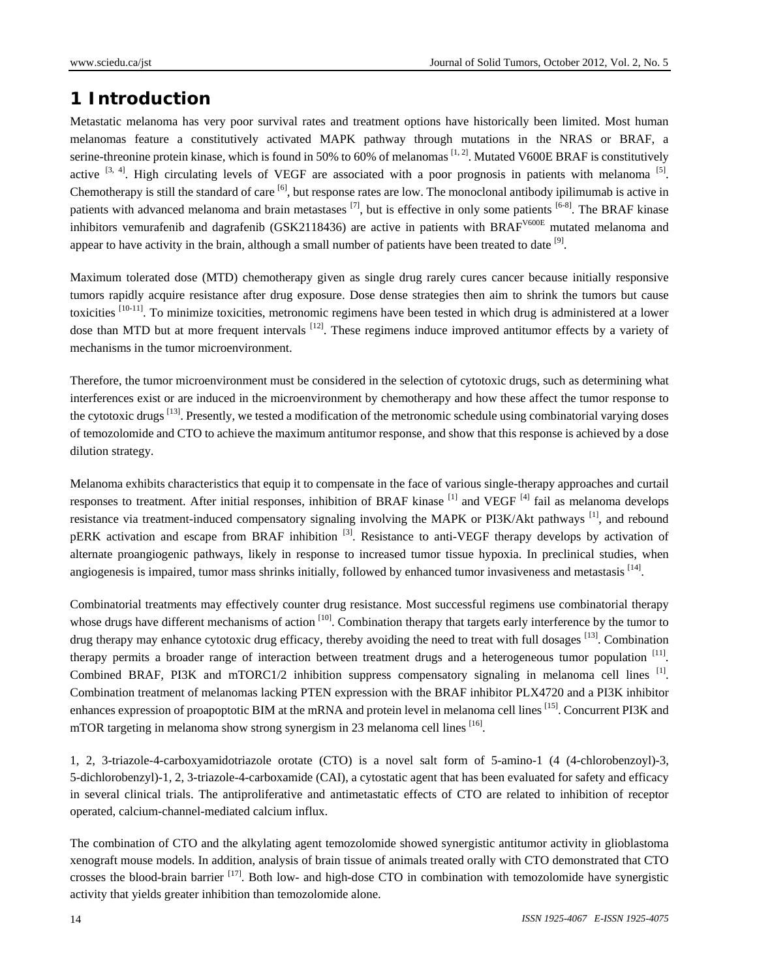## **1 Introduction**

Metastatic melanoma has very poor survival rates and treatment options have historically been limited. Most human melanomas feature a constitutively activated MAPK pathway through mutations in the NRAS or BRAF, a serine-threonine protein kinase, which is found in 50% to 60% of melanomas  $^{[1, 2]}$ . Mutated V600E BRAF is constitutively active  $[3, 4]$ . High circulating levels of VEGF are associated with a poor prognosis in patients with melanoma  $[5]$ . Chemotherapy is still the standard of care  $[6]$ , but response rates are low. The monoclonal antibody ipilimumab is active in patients with advanced melanoma and brain metastases [7], but is effective in only some patients [6-8]. The BRAF kinase inhibitors vemurafenib and dagrafenib (GSK2118436) are active in patients with BRAF<sup>V600E</sup> mutated melanoma and appear to have activity in the brain, although a small number of patients have been treated to date  $[9]$ .

Maximum tolerated dose (MTD) chemotherapy given as single drug rarely cures cancer because initially responsive tumors rapidly acquire resistance after drug exposure. Dose dense strategies then aim to shrink the tumors but cause toxicities <sup>[10-11]</sup>. To minimize toxicities, metronomic regimens have been tested in which drug is administered at a lower dose than MTD but at more frequent intervals <sup>[12]</sup>. These regimens induce improved antitumor effects by a variety of mechanisms in the tumor microenvironment.

Therefore, the tumor microenvironment must be considered in the selection of cytotoxic drugs, such as determining what interferences exist or are induced in the microenvironment by chemotherapy and how these affect the tumor response to the cytotoxic drugs  $^{[13]}$ . Presently, we tested a modification of the metronomic schedule using combinatorial varying doses of temozolomide and CTO to achieve the maximum antitumor response, and show that this response is achieved by a dose dilution strategy.

Melanoma exhibits characteristics that equip it to compensate in the face of various single-therapy approaches and curtail responses to treatment. After initial responses, inhibition of BRAF kinase  $^{[1]}$  and VEGF  $^{[4]}$  fail as melanoma develops resistance via treatment-induced compensatory signaling involving the MAPK or PI3K/Akt pathways  $^{[1]}$ , and rebound pERK activation and escape from BRAF inhibition <sup>[3]</sup>. Resistance to anti-VEGF therapy develops by activation of alternate proangiogenic pathways, likely in response to increased tumor tissue hypoxia. In preclinical studies, when angiogenesis is impaired, tumor mass shrinks initially, followed by enhanced tumor invasiveness and metastasis  $^{[14]}$ .

Combinatorial treatments may effectively counter drug resistance. Most successful regimens use combinatorial therapy whose drugs have different mechanisms of action <sup>[10]</sup>. Combination therapy that targets early interference by the tumor to drug therapy may enhance cytotoxic drug efficacy, thereby avoiding the need to treat with full dosages [13]. Combination therapy permits a broader range of interaction between treatment drugs and a heterogeneous tumor population  $[11]$ . Combined BRAF, PI3K and mTORC1/2 inhibition suppress compensatory signaling in melanoma cell lines  $^{[1]}$ . Combination treatment of melanomas lacking PTEN expression with the BRAF inhibitor PLX4720 and a PI3K inhibitor enhances expression of proapoptotic BIM at the mRNA and protein level in melanoma cell lines [15]. Concurrent PI3K and mTOR targeting in melanoma show strong synergism in 23 melanoma cell lines [16].

1, 2, 3-triazole-4-carboxyamidotriazole orotate (CTO) is a novel salt form of 5-amino-1 (4 (4-chlorobenzoyl)-3, 5-dichlorobenzyl)-1, 2, 3-triazole-4-carboxamide (CAI), a cytostatic agent that has been evaluated for safety and efficacy in several clinical trials. The antiproliferative and antimetastatic effects of CTO are related to inhibition of receptor operated, calcium-channel-mediated calcium influx.

The combination of CTO and the alkylating agent temozolomide showed synergistic antitumor activity in glioblastoma xenograft mouse models. In addition, analysis of brain tissue of animals treated orally with CTO demonstrated that CTO crosses the blood-brain barrier [17]. Both low- and high-dose CTO in combination with temozolomide have synergistic activity that yields greater inhibition than temozolomide alone.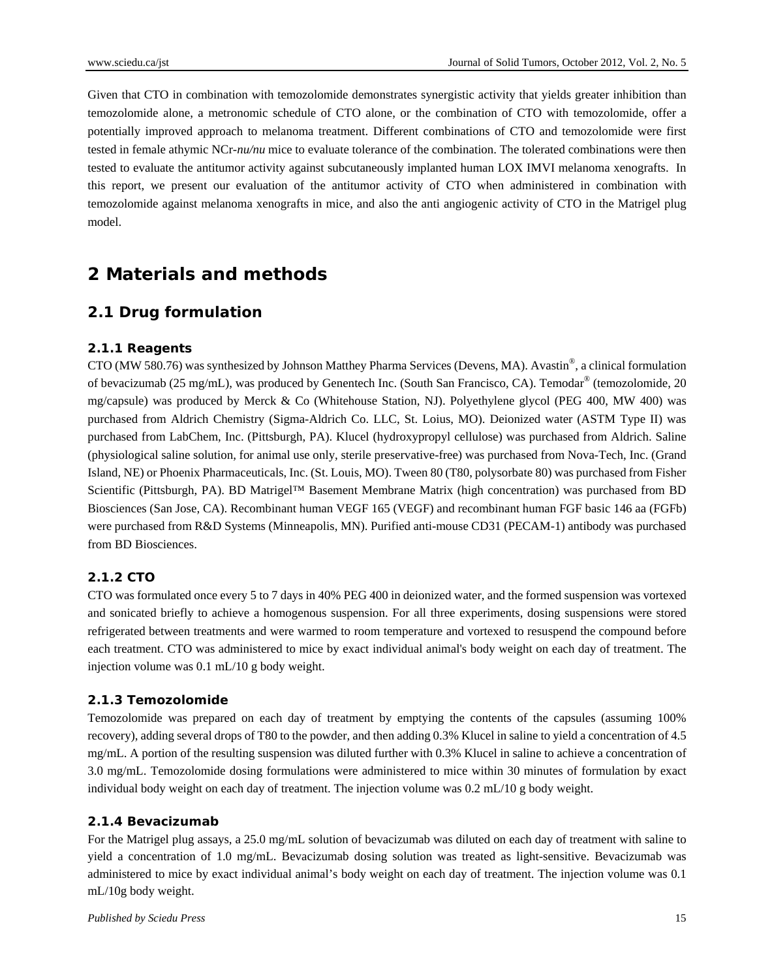Given that CTO in combination with temozolomide demonstrates synergistic activity that yields greater inhibition than temozolomide alone, a metronomic schedule of CTO alone, or the combination of CTO with temozolomide, offer a potentially improved approach to melanoma treatment. Different combinations of CTO and temozolomide were first tested in female athymic NCr-*nu/nu* mice to evaluate tolerance of the combination. The tolerated combinations were then tested to evaluate the antitumor activity against subcutaneously implanted human LOX IMVI melanoma xenografts. In this report, we present our evaluation of the antitumor activity of CTO when administered in combination with temozolomide against melanoma xenografts in mice, and also the anti angiogenic activity of CTO in the Matrigel plug model.

## **2 Materials and methods**

## **2.1 Drug formulation**

#### **2.1.1 Reagents**

CTO (MW 580.76) was synthesized by Johnson Matthey Pharma Services (Devens, MA). Avastin®, a clinical formulation of bevacizumab (25 mg/mL), was produced by Genentech Inc. (South San Francisco, CA). Temodar® (temozolomide, 20 mg/capsule) was produced by Merck & Co (Whitehouse Station, NJ). Polyethylene glycol (PEG 400, MW 400) was purchased from Aldrich Chemistry (Sigma-Aldrich Co. LLC, St. Loius, MO). Deionized water (ASTM Type II) was purchased from LabChem, Inc. (Pittsburgh, PA). Klucel (hydroxypropyl cellulose) was purchased from Aldrich. Saline (physiological saline solution, for animal use only, sterile preservative-free) was purchased from Nova-Tech, Inc. (Grand Island, NE) or Phoenix Pharmaceuticals, Inc. (St. Louis, MO). Tween 80 (T80, polysorbate 80) was purchased from Fisher Scientific (Pittsburgh, PA). BD Matrigel™ Basement Membrane Matrix (high concentration) was purchased from BD Biosciences (San Jose, CA). Recombinant human VEGF 165 (VEGF) and recombinant human FGF basic 146 aa (FGFb) were purchased from R&D Systems (Minneapolis, MN). Purified anti-mouse CD31 (PECAM-1) antibody was purchased from BD Biosciences.

#### **2.1.2 CTO**

CTO was formulated once every 5 to 7 days in 40% PEG 400 in deionized water, and the formed suspension was vortexed and sonicated briefly to achieve a homogenous suspension. For all three experiments, dosing suspensions were stored refrigerated between treatments and were warmed to room temperature and vortexed to resuspend the compound before each treatment. CTO was administered to mice by exact individual animal's body weight on each day of treatment. The injection volume was 0.1 mL/10 g body weight.

#### **2.1.3 Temozolomide**

Temozolomide was prepared on each day of treatment by emptying the contents of the capsules (assuming 100% recovery), adding several drops of T80 to the powder, and then adding 0.3% Klucel in saline to yield a concentration of 4.5 mg/mL. A portion of the resulting suspension was diluted further with 0.3% Klucel in saline to achieve a concentration of 3.0 mg/mL. Temozolomide dosing formulations were administered to mice within 30 minutes of formulation by exact individual body weight on each day of treatment. The injection volume was 0.2 mL/10 g body weight.

#### **2.1.4 Bevacizumab**

For the Matrigel plug assays, a 25.0 mg/mL solution of bevacizumab was diluted on each day of treatment with saline to yield a concentration of 1.0 mg/mL. Bevacizumab dosing solution was treated as light-sensitive. Bevacizumab was administered to mice by exact individual animal's body weight on each day of treatment. The injection volume was 0.1 mL/10g body weight.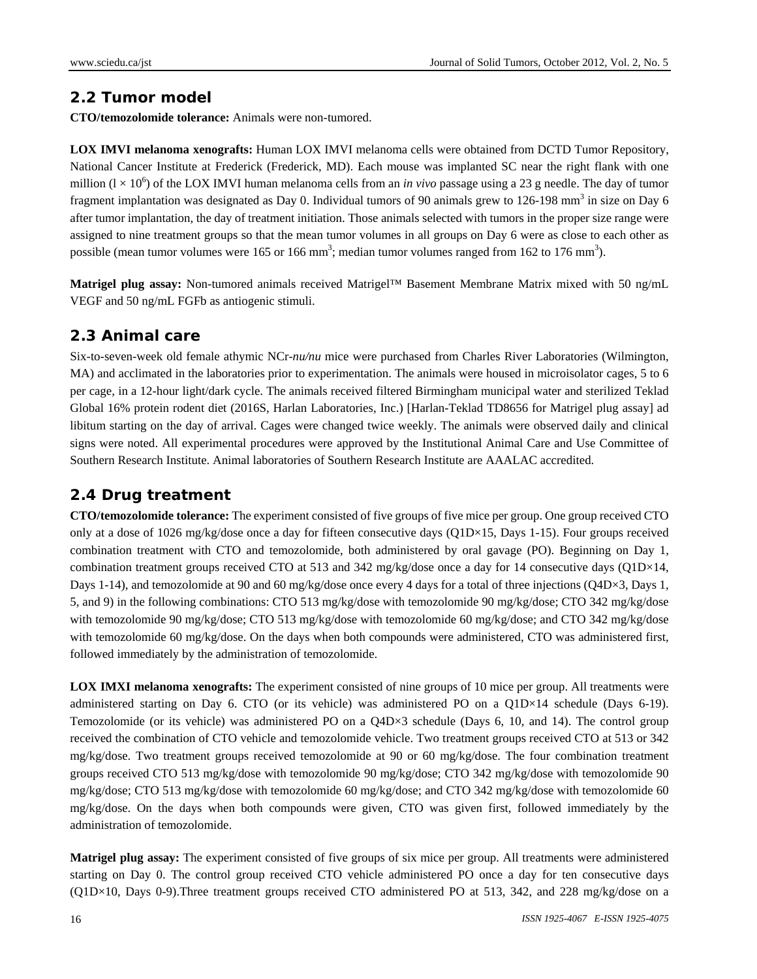### **2.2 Tumor model**

**CTO/temozolomide tolerance:** Animals were non-tumored.

**LOX IMVI melanoma xenografts:** Human LOX IMVI melanoma cells were obtained from DCTD Tumor Repository, National Cancer Institute at Frederick (Frederick, MD). Each mouse was implanted SC near the right flank with one million  $(1 \times 10^6)$  of the LOX IMVI human melanoma cells from an *in vivo* passage using a 23 g needle. The day of tumor fragment implantation was designated as Day 0. Individual tumors of 90 animals grew to 126-198 mm<sup>3</sup> in size on Day 6 after tumor implantation, the day of treatment initiation. Those animals selected with tumors in the proper size range were assigned to nine treatment groups so that the mean tumor volumes in all groups on Day 6 were as close to each other as possible (mean tumor volumes were 165 or 166 mm<sup>3</sup>; median tumor volumes ranged from 162 to 176 mm<sup>3</sup>).

**Matrigel plug assay:** Non-tumored animals received Matrigel™ Basement Membrane Matrix mixed with 50 ng/mL VEGF and 50 ng/mL FGFb as antiogenic stimuli.

### **2.3 Animal care**

Six-to-seven-week old female athymic NCr-*nu/nu* mice were purchased from Charles River Laboratories (Wilmington, MA) and acclimated in the laboratories prior to experimentation. The animals were housed in microisolator cages, 5 to 6 per cage, in a 12-hour light/dark cycle. The animals received filtered Birmingham municipal water and sterilized Teklad Global 16% protein rodent diet (2016S, Harlan Laboratories, Inc.) [Harlan-Teklad TD8656 for Matrigel plug assay] ad libitum starting on the day of arrival. Cages were changed twice weekly. The animals were observed daily and clinical signs were noted. All experimental procedures were approved by the Institutional Animal Care and Use Committee of Southern Research Institute. Animal laboratories of Southern Research Institute are AAALAC accredited.

### **2.4 Drug treatment**

**CTO/temozolomide tolerance:** The experiment consisted of five groups of five mice per group. One group received CTO only at a dose of 1026 mg/kg/dose once a day for fifteen consecutive days (Q1D×15, Days 1-15). Four groups received combination treatment with CTO and temozolomide, both administered by oral gavage (PO). Beginning on Day 1, combination treatment groups received CTO at 513 and 342 mg/kg/dose once a day for 14 consecutive days (Q1D×14, Days 1-14), and temozolomide at 90 and 60 mg/kg/dose once every 4 days for a total of three injections (Q4D×3, Days 1, 5, and 9) in the following combinations: CTO 513 mg/kg/dose with temozolomide 90 mg/kg/dose; CTO 342 mg/kg/dose with temozolomide 90 mg/kg/dose; CTO 513 mg/kg/dose with temozolomide 60 mg/kg/dose; and CTO 342 mg/kg/dose with temozolomide 60 mg/kg/dose. On the days when both compounds were administered, CTO was administered first, followed immediately by the administration of temozolomide.

**LOX IMXI melanoma xenografts:** The experiment consisted of nine groups of 10 mice per group. All treatments were administered starting on Day 6. CTO (or its vehicle) was administered PO on a Q1D×14 schedule (Days 6-19). Temozolomide (or its vehicle) was administered PO on a Q4D×3 schedule (Days 6, 10, and 14). The control group received the combination of CTO vehicle and temozolomide vehicle. Two treatment groups received CTO at 513 or 342 mg/kg/dose. Two treatment groups received temozolomide at 90 or 60 mg/kg/dose. The four combination treatment groups received CTO 513 mg/kg/dose with temozolomide 90 mg/kg/dose; CTO 342 mg/kg/dose with temozolomide 90 mg/kg/dose; CTO 513 mg/kg/dose with temozolomide 60 mg/kg/dose; and CTO 342 mg/kg/dose with temozolomide 60 mg/kg/dose. On the days when both compounds were given, CTO was given first, followed immediately by the administration of temozolomide.

**Matrigel plug assay:** The experiment consisted of five groups of six mice per group. All treatments were administered starting on Day 0. The control group received CTO vehicle administered PO once a day for ten consecutive days (Q1D×10, Days 0-9).Three treatment groups received CTO administered PO at 513, 342, and 228 mg/kg/dose on a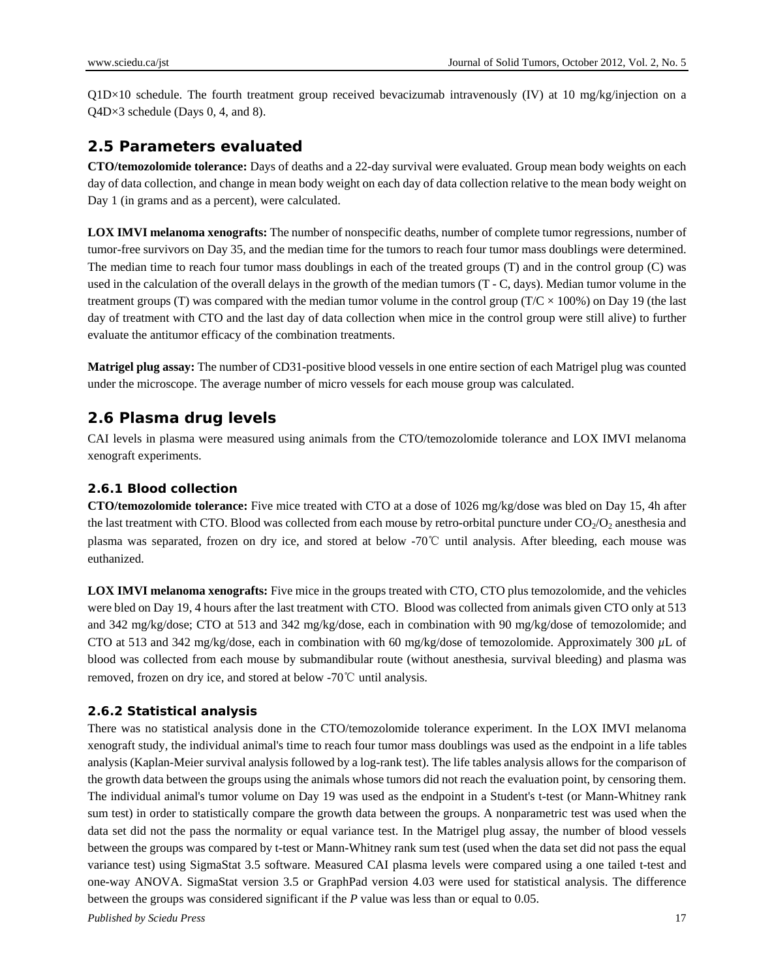Q1D×10 schedule. The fourth treatment group received bevacizumab intravenously (IV) at 10 mg/kg/injection on a Q4D×3 schedule (Days 0, 4, and 8).

### **2.5 Parameters evaluated**

**CTO/temozolomide tolerance:** Days of deaths and a 22-day survival were evaluated. Group mean body weights on each day of data collection, and change in mean body weight on each day of data collection relative to the mean body weight on Day 1 (in grams and as a percent), were calculated.

**LOX IMVI melanoma xenografts:** The number of nonspecific deaths, number of complete tumor regressions, number of tumor-free survivors on Day 35, and the median time for the tumors to reach four tumor mass doublings were determined. The median time to reach four tumor mass doublings in each of the treated groups (T) and in the control group (C) was used in the calculation of the overall delays in the growth of the median tumors (T - C, days). Median tumor volume in the treatment groups (T) was compared with the median tumor volume in the control group ( $T/C \times 100\%$ ) on Day 19 (the last day of treatment with CTO and the last day of data collection when mice in the control group were still alive) to further evaluate the antitumor efficacy of the combination treatments.

**Matrigel plug assay:** The number of CD31-positive blood vessels in one entire section of each Matrigel plug was counted under the microscope. The average number of micro vessels for each mouse group was calculated.

## **2.6 Plasma drug levels**

CAI levels in plasma were measured using animals from the CTO/temozolomide tolerance and LOX IMVI melanoma xenograft experiments.

#### **2.6.1 Blood collection**

**CTO/temozolomide tolerance:** Five mice treated with CTO at a dose of 1026 mg/kg/dose was bled on Day 15, 4h after the last treatment with CTO. Blood was collected from each mouse by retro-orbital puncture under  $CO<sub>2</sub>/O<sub>2</sub>$  anesthesia and plasma was separated, frozen on dry ice, and stored at below -70℃ until analysis. After bleeding, each mouse was euthanized.

**LOX IMVI melanoma xenografts:** Five mice in the groups treated with CTO, CTO plus temozolomide, and the vehicles were bled on Day 19, 4 hours after the last treatment with CTO. Blood was collected from animals given CTO only at 513 and 342 mg/kg/dose; CTO at 513 and 342 mg/kg/dose, each in combination with 90 mg/kg/dose of temozolomide; and CTO at 513 and 342 mg/kg/dose, each in combination with 60 mg/kg/dose of temozolomide. Approximately 300 *µ*L of blood was collected from each mouse by submandibular route (without anesthesia, survival bleeding) and plasma was removed, frozen on dry ice, and stored at below -70℃ until analysis.

#### **2.6.2 Statistical analysis**

There was no statistical analysis done in the CTO/temozolomide tolerance experiment. In the LOX IMVI melanoma xenograft study, the individual animal's time to reach four tumor mass doublings was used as the endpoint in a life tables analysis (Kaplan-Meier survival analysis followed by a log-rank test). The life tables analysis allows for the comparison of the growth data between the groups using the animals whose tumors did not reach the evaluation point, by censoring them. The individual animal's tumor volume on Day 19 was used as the endpoint in a Student's t-test (or Mann-Whitney rank sum test) in order to statistically compare the growth data between the groups. A nonparametric test was used when the data set did not the pass the normality or equal variance test. In the Matrigel plug assay, the number of blood vessels between the groups was compared by t-test or Mann-Whitney rank sum test (used when the data set did not pass the equal variance test) using SigmaStat 3.5 software. Measured CAI plasma levels were compared using a one tailed t-test and one-way ANOVA. SigmaStat version 3.5 or GraphPad version 4.03 were used for statistical analysis. The difference between the groups was considered significant if the *P* value was less than or equal to 0.05.

*Published by Sciedu Press* 17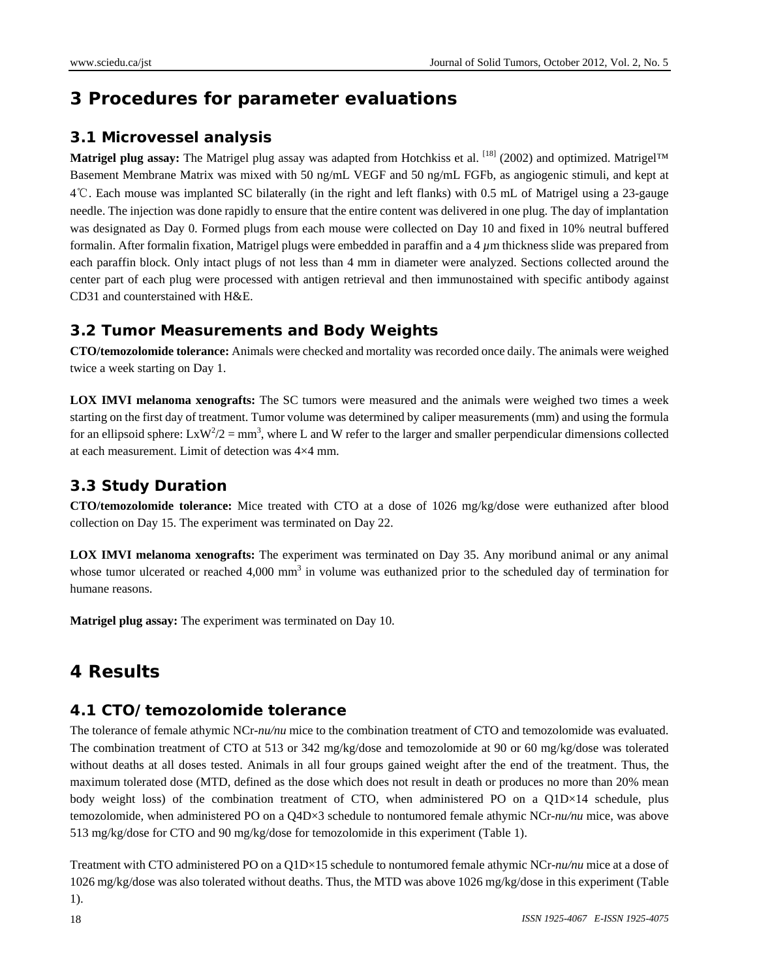## **3 Procedures for parameter evaluations**

## **3.1 Microvessel analysis**

Matrigel plug assay: The Matrigel plug assay was adapted from Hotchkiss et al. <sup>[18]</sup> (2002) and optimized. Matrigel™ Basement Membrane Matrix was mixed with 50 ng/mL VEGF and 50 ng/mL FGFb, as angiogenic stimuli, and kept at 4℃. Each mouse was implanted SC bilaterally (in the right and left flanks) with 0.5 mL of Matrigel using a 23-gauge needle. The injection was done rapidly to ensure that the entire content was delivered in one plug. The day of implantation was designated as Day 0. Formed plugs from each mouse were collected on Day 10 and fixed in 10% neutral buffered formalin. After formalin fixation, Matrigel plugs were embedded in paraffin and a  $4 \mu$ m thickness slide was prepared from each paraffin block. Only intact plugs of not less than 4 mm in diameter were analyzed. Sections collected around the center part of each plug were processed with antigen retrieval and then immunostained with specific antibody against CD31 and counterstained with H&E.

## **3.2 Tumor Measurements and Body Weights**

**CTO/temozolomide tolerance:** Animals were checked and mortality was recorded once daily. The animals were weighed twice a week starting on Day 1.

**LOX IMVI melanoma xenografts:** The SC tumors were measured and the animals were weighed two times a week starting on the first day of treatment. Tumor volume was determined by caliper measurements (mm) and using the formula for an ellipsoid sphere:  $LxW^2/2 = mm^3$ , where L and W refer to the larger and smaller perpendicular dimensions collected at each measurement. Limit of detection was 4×4 mm.

## **3.3 Study Duration**

**CTO/temozolomide tolerance:** Mice treated with CTO at a dose of 1026 mg/kg/dose were euthanized after blood collection on Day 15. The experiment was terminated on Day 22.

**LOX IMVI melanoma xenografts:** The experiment was terminated on Day 35. Any moribund animal or any animal whose tumor ulcerated or reached  $4,000$  mm<sup>3</sup> in volume was euthanized prior to the scheduled day of termination for humane reasons.

**Matrigel plug assay:** The experiment was terminated on Day 10.

## **4 Results**

## **4.1 CTO/temozolomide tolerance**

The tolerance of female athymic NCr-*nu/nu* mice to the combination treatment of CTO and temozolomide was evaluated. The combination treatment of CTO at 513 or 342 mg/kg/dose and temozolomide at 90 or 60 mg/kg/dose was tolerated without deaths at all doses tested. Animals in all four groups gained weight after the end of the treatment. Thus, the maximum tolerated dose (MTD, defined as the dose which does not result in death or produces no more than 20% mean body weight loss) of the combination treatment of CTO, when administered PO on a  $Q1D\times14$  schedule, plus temozolomide, when administered PO on a Q4D×3 schedule to nontumored female athymic NCr-*nu/nu* mice, was above 513 mg/kg/dose for CTO and 90 mg/kg/dose for temozolomide in this experiment (Table 1).

Treatment with CTO administered PO on a Q1D×15 schedule to nontumored female athymic NCr-*nu/nu* mice at a dose of 1026 mg/kg/dose was also tolerated without deaths. Thus, the MTD was above 1026 mg/kg/dose in this experiment (Table 1).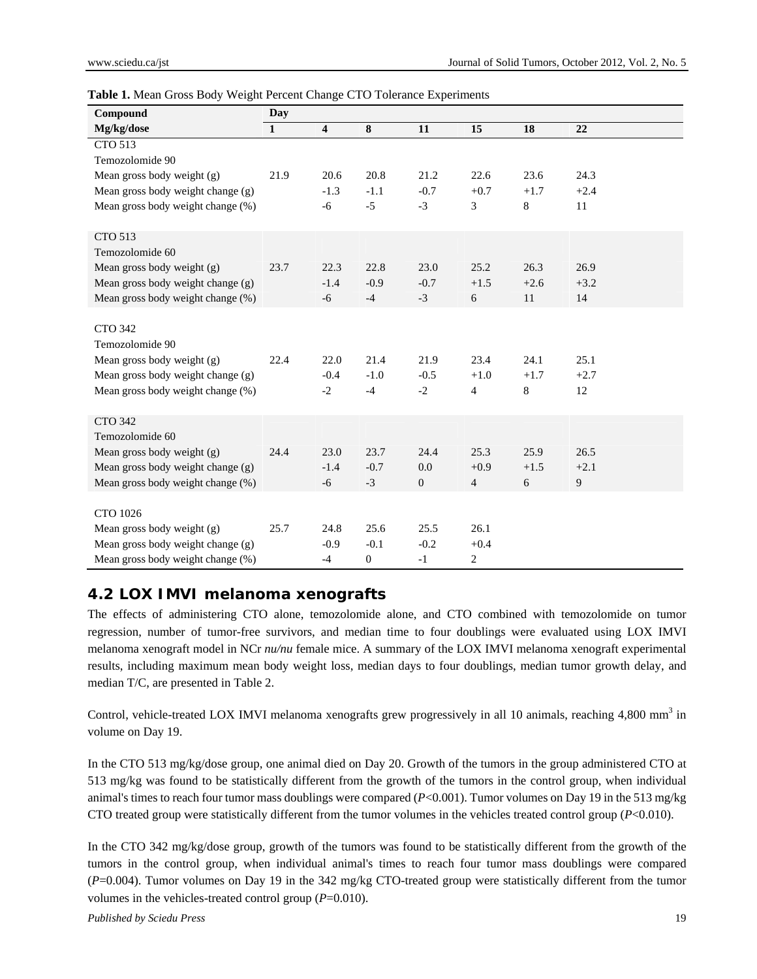|  |  | Table 1. Mean Gross Body Weight Percent Change CTO Tolerance Experiments |
|--|--|--------------------------------------------------------------------------|
|  |  |                                                                          |

| Compound                          | <b>Day</b>   |                         |                         |                |                |        |        |
|-----------------------------------|--------------|-------------------------|-------------------------|----------------|----------------|--------|--------|
| Mg/kg/dose                        | $\mathbf{1}$ | $\overline{\mathbf{4}}$ | $\overline{\mathbf{8}}$ | 11             | 15             | 18     | 22     |
| <b>CTO 513</b>                    |              |                         |                         |                |                |        |        |
| Temozolomide 90                   |              |                         |                         |                |                |        |        |
| Mean gross body weight (g)        | 21.9         | 20.6                    | 20.8                    | 21.2           | 22.6           | 23.6   | 24.3   |
| Mean gross body weight change (g) |              | $-1.3$                  | $-1.1$                  | $-0.7$         | $+0.7$         | $+1.7$ | $+2.4$ |
| Mean gross body weight change (%) |              | $-6$                    | $-5$                    | $-3$           | 3              | 8      | 11     |
| <b>CTO 513</b>                    |              |                         |                         |                |                |        |        |
| Temozolomide 60                   |              |                         |                         |                |                |        |        |
| Mean gross body weight (g)        | 23.7         | 22.3                    | 22.8                    | 23.0           | 25.2           | 26.3   | 26.9   |
| Mean gross body weight change (g) |              | $-1.4$                  | $-0.9$                  | $-0.7$         | $+1.5$         | $+2.6$ | $+3.2$ |
| Mean gross body weight change (%) |              | $-6$                    | $-4$                    | $-3$           | 6              | 11     | 14     |
| <b>CTO 342</b>                    |              |                         |                         |                |                |        |        |
| Temozolomide 90                   |              |                         |                         |                |                |        |        |
| Mean gross body weight (g)        | 22.4         | 22.0                    | 21.4                    | 21.9           | 23.4           | 24.1   | 25.1   |
| Mean gross body weight change (g) |              | $-0.4$                  | $-1.0$                  | $-0.5$         | $+1.0$         | $+1.7$ | $+2.7$ |
| Mean gross body weight change (%) |              | $-2$                    | $-4$                    | $-2$           | $\overline{4}$ | 8      | 12     |
|                                   |              |                         |                         |                |                |        |        |
| <b>CTO 342</b>                    |              |                         |                         |                |                |        |        |
| Temozolomide 60                   |              |                         |                         |                |                |        |        |
| Mean gross body weight (g)        | 24.4         | 23.0                    | 23.7                    | 24.4           | 25.3           | 25.9   | 26.5   |
| Mean gross body weight change (g) |              | $-1.4$                  | $-0.7$                  | 0.0            | $+0.9$         | $+1.5$ | $+2.1$ |
| Mean gross body weight change (%) |              | $-6$                    | $-3$                    | $\overline{0}$ | $\overline{4}$ | 6      | 9      |
| CTO 1026                          |              |                         |                         |                |                |        |        |
| Mean gross body weight (g)        | 25.7         | 24.8                    | 25.6                    | 25.5           | 26.1           |        |        |
| Mean gross body weight change (g) |              | $-0.9$                  | $-0.1$                  | $-0.2$         | $+0.4$         |        |        |
| Mean gross body weight change (%) |              | $-4$                    | $\mathbf{0}$            | $-1$           | 2              |        |        |

#### **4.2 LOX IMVI melanoma xenografts**

The effects of administering CTO alone, temozolomide alone, and CTO combined with temozolomide on tumor regression, number of tumor-free survivors, and median time to four doublings were evaluated using LOX IMVI melanoma xenograft model in NCr *nu/nu* female mice. A summary of the LOX IMVI melanoma xenograft experimental results, including maximum mean body weight loss, median days to four doublings, median tumor growth delay, and median T/C, are presented in Table 2.

Control, vehicle-treated LOX IMVI melanoma xenografts grew progressively in all 10 animals, reaching 4,800 mm<sup>3</sup> in volume on Day 19.

In the CTO 513 mg/kg/dose group, one animal died on Day 20. Growth of the tumors in the group administered CTO at 513 mg/kg was found to be statistically different from the growth of the tumors in the control group, when individual animal's times to reach four tumor mass doublings were compared (*P*<0.001). Tumor volumes on Day 19 in the 513 mg/kg CTO treated group were statistically different from the tumor volumes in the vehicles treated control group  $(P<0.010)$ .

In the CTO 342 mg/kg/dose group, growth of the tumors was found to be statistically different from the growth of the tumors in the control group, when individual animal's times to reach four tumor mass doublings were compared (*P*=0.004). Tumor volumes on Day 19 in the 342 mg/kg CTO-treated group were statistically different from the tumor volumes in the vehicles-treated control group (*P*=0.010).

*Published by Sciedu Press* 19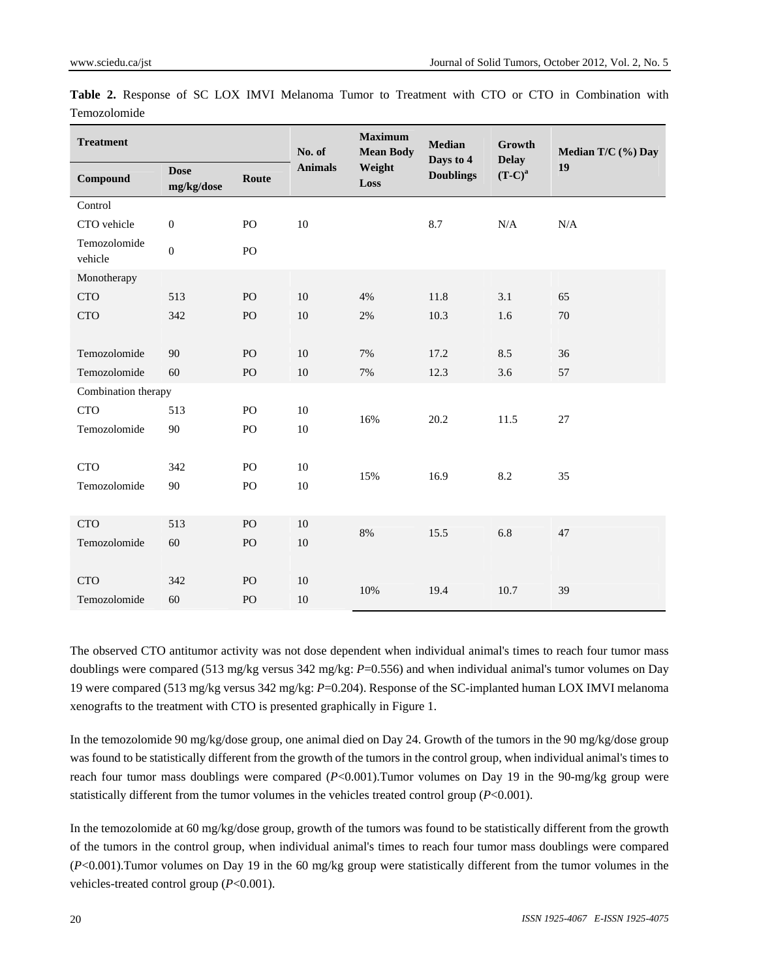| <b>Treatment</b>        |                           |                 | No. of         | <b>Maximum</b><br><b>Mean Body</b> | <b>Median</b><br>Days to 4 | Growth<br><b>Delay</b> | Median T/C (%) Day |
|-------------------------|---------------------------|-----------------|----------------|------------------------------------|----------------------------|------------------------|--------------------|
| Compound                | <b>Dose</b><br>mg/kg/dose | Route           | <b>Animals</b> | Weight<br>Loss                     | <b>Doublings</b>           | $(T-C)^a$              | 19                 |
| Control                 |                           |                 |                |                                    |                            |                        |                    |
| CTO vehicle             | $\boldsymbol{0}$          | PO <sub>1</sub> | 10             |                                    | 8.7                        | N/A                    | $\rm N/A$          |
| Temozolomide<br>vehicle | $\boldsymbol{0}$          | PO              |                |                                    |                            |                        |                    |
| Monotherapy             |                           |                 |                |                                    |                            |                        |                    |
| CTO                     | 513                       | PO              | $10\,$         | 4%                                 | 11.8                       | 3.1                    | 65                 |
| <b>CTO</b>              | 342                       | PO              | 10             | 2%                                 | 10.3                       | 1.6                    | 70                 |
|                         |                           |                 |                |                                    |                            |                        |                    |
| Temozolomide            | 90                        | PO <sub>1</sub> | 10             | 7%                                 | 17.2                       | 8.5                    | 36                 |
| Temozolomide            | 60                        | PO              | 10             | 7%                                 | 12.3                       | 3.6                    | 57                 |
| Combination therapy     |                           |                 |                |                                    |                            |                        |                    |
| <b>CTO</b>              | 513                       | PO              | 10             | 16%                                | 20.2                       | 11.5                   | 27                 |
| Temozolomide            | 90                        | PO              | 10             |                                    |                            |                        |                    |
|                         |                           |                 |                |                                    |                            |                        |                    |
| <b>CTO</b>              | 342                       | PO              | 10             | 15%                                | 16.9                       | 8.2                    | 35                 |
| Temozolomide            | 90                        | PO              | 10             |                                    |                            |                        |                    |
|                         |                           |                 |                |                                    |                            |                        |                    |
| <b>CTO</b>              | 513                       | PO              | 10             | 8%                                 | 15.5                       | 6.8                    | 47                 |
| Temozolomide            | 60                        | PO              | $10\,$         |                                    |                            |                        |                    |
|                         |                           |                 |                |                                    |                            |                        |                    |
| <b>CTO</b>              | 342                       | PO <sub>1</sub> | 10             | $10\%$                             | 19.4                       | 10.7                   | 39                 |
| Temozolomide            | 60                        | PO              | 10             |                                    |                            |                        |                    |

**Table 2.** Response of SC LOX IMVI Melanoma Tumor to Treatment with CTO or CTO in Combination with Temozolomide

The observed CTO antitumor activity was not dose dependent when individual animal's times to reach four tumor mass doublings were compared (513 mg/kg versus 342 mg/kg: *P*=0.556) and when individual animal's tumor volumes on Day 19 were compared (513 mg/kg versus 342 mg/kg: *P*=0.204). Response of the SC-implanted human LOX IMVI melanoma xenografts to the treatment with CTO is presented graphically in Figure 1.

In the temozolomide 90 mg/kg/dose group, one animal died on Day 24. Growth of the tumors in the 90 mg/kg/dose group was found to be statistically different from the growth of the tumors in the control group, when individual animal's times to reach four tumor mass doublings were compared (*P*<0.001).Tumor volumes on Day 19 in the 90-mg/kg group were statistically different from the tumor volumes in the vehicles treated control group (*P*<0.001).

In the temozolomide at 60 mg/kg/dose group, growth of the tumors was found to be statistically different from the growth of the tumors in the control group, when individual animal's times to reach four tumor mass doublings were compared (*P*<0.001).Tumor volumes on Day 19 in the 60 mg/kg group were statistically different from the tumor volumes in the vehicles-treated control group (*P*<0.001).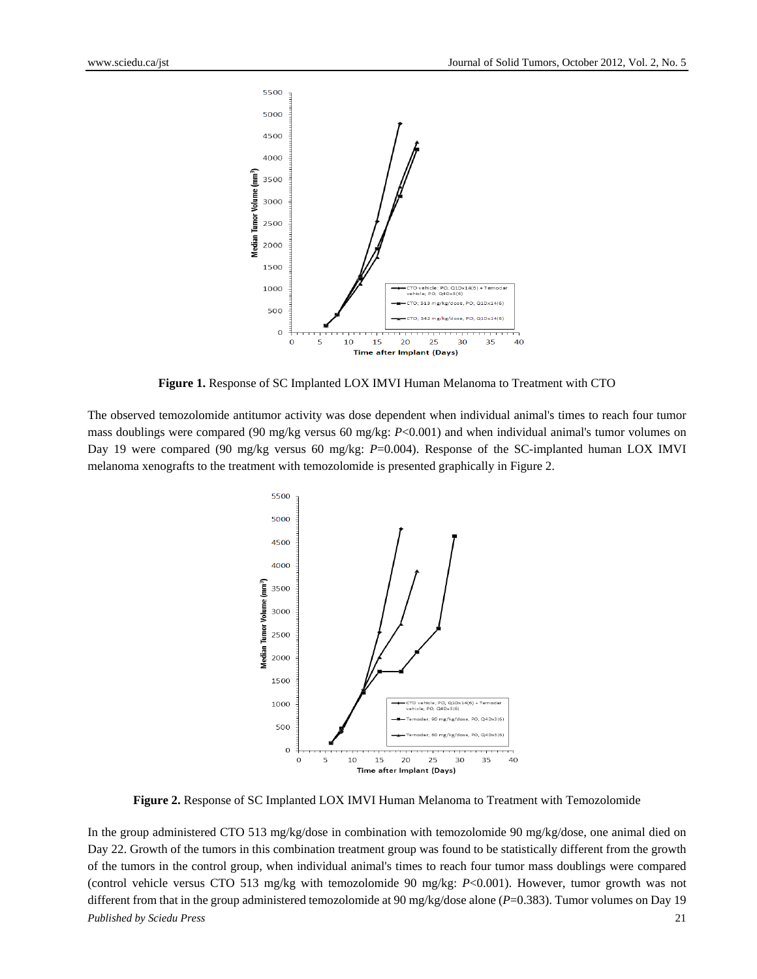

**Figure 1.** Response of SC Implanted LOX IMVI Human Melanoma to Treatment with CTO

The observed temozolomide antitumor activity was dose dependent when individual animal's times to reach four tumor mass doublings were compared (90 mg/kg versus 60 mg/kg: *P*<0.001) and when individual animal's tumor volumes on Day 19 were compared (90 mg/kg versus 60 mg/kg: *P*=0.004). Response of the SC-implanted human LOX IMVI melanoma xenografts to the treatment with temozolomide is presented graphically in Figure 2.



**Figure 2.** Response of SC Implanted LOX IMVI Human Melanoma to Treatment with Temozolomide

*Published by Sciedu Press* 21 In the group administered CTO 513 mg/kg/dose in combination with temozolomide 90 mg/kg/dose, one animal died on Day 22. Growth of the tumors in this combination treatment group was found to be statistically different from the growth of the tumors in the control group, when individual animal's times to reach four tumor mass doublings were compared (control vehicle versus CTO 513 mg/kg with temozolomide 90 mg/kg: *P*<0.001). However, tumor growth was not different from that in the group administered temozolomide at 90 mg/kg/dose alone (*P*=0.383). Tumor volumes on Day 19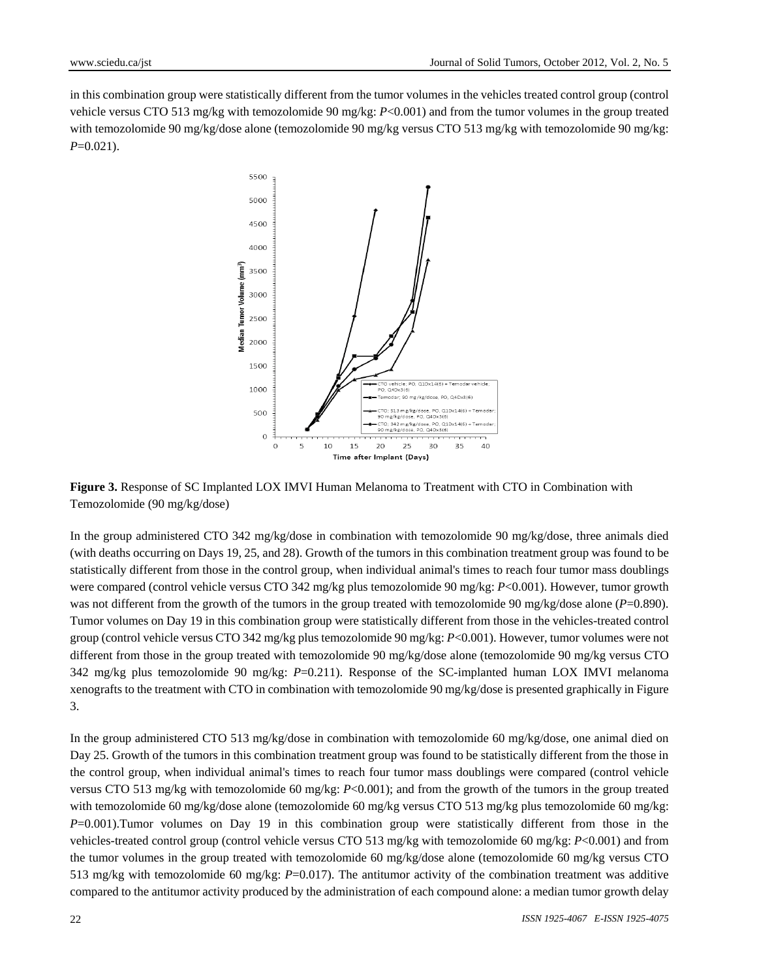in this combination group were statistically different from the tumor volumes in the vehicles treated control group (control vehicle versus CTO 513 mg/kg with temozolomide 90 mg/kg: *P*<0.001) and from the tumor volumes in the group treated with temozolomide 90 mg/kg/dose alone (temozolomide 90 mg/kg versus CTO 513 mg/kg with temozolomide 90 mg/kg: *P*=0.021).



**Figure 3.** Response of SC Implanted LOX IMVI Human Melanoma to Treatment with CTO in Combination with Temozolomide (90 mg/kg/dose)

In the group administered CTO 342 mg/kg/dose in combination with temozolomide 90 mg/kg/dose, three animals died (with deaths occurring on Days 19, 25, and 28). Growth of the tumors in this combination treatment group was found to be statistically different from those in the control group, when individual animal's times to reach four tumor mass doublings were compared (control vehicle versus CTO 342 mg/kg plus temozolomide 90 mg/kg: *P*<0.001). However, tumor growth was not different from the growth of the tumors in the group treated with temozolomide 90 mg/kg/dose alone (*P*=0.890). Tumor volumes on Day 19 in this combination group were statistically different from those in the vehicles-treated control group (control vehicle versus CTO 342 mg/kg plus temozolomide 90 mg/kg: *P*<0.001). However, tumor volumes were not different from those in the group treated with temozolomide 90 mg/kg/dose alone (temozolomide 90 mg/kg versus CTO 342 mg/kg plus temozolomide 90 mg/kg: *P*=0.211). Response of the SC-implanted human LOX IMVI melanoma xenografts to the treatment with CTO in combination with temozolomide 90 mg/kg/dose is presented graphically in Figure 3.

In the group administered CTO 513 mg/kg/dose in combination with temozolomide 60 mg/kg/dose, one animal died on Day 25. Growth of the tumors in this combination treatment group was found to be statistically different from the those in the control group, when individual animal's times to reach four tumor mass doublings were compared (control vehicle versus CTO 513 mg/kg with temozolomide 60 mg/kg: *P*<0.001); and from the growth of the tumors in the group treated with temozolomide 60 mg/kg/dose alone (temozolomide 60 mg/kg versus CTO 513 mg/kg plus temozolomide 60 mg/kg: *P*=0.001).Tumor volumes on Day 19 in this combination group were statistically different from those in the vehicles-treated control group (control vehicle versus CTO 513 mg/kg with temozolomide 60 mg/kg: *P*<0.001) and from the tumor volumes in the group treated with temozolomide 60 mg/kg/dose alone (temozolomide 60 mg/kg versus CTO 513 mg/kg with temozolomide 60 mg/kg: *P*=0.017). The antitumor activity of the combination treatment was additive compared to the antitumor activity produced by the administration of each compound alone: a median tumor growth delay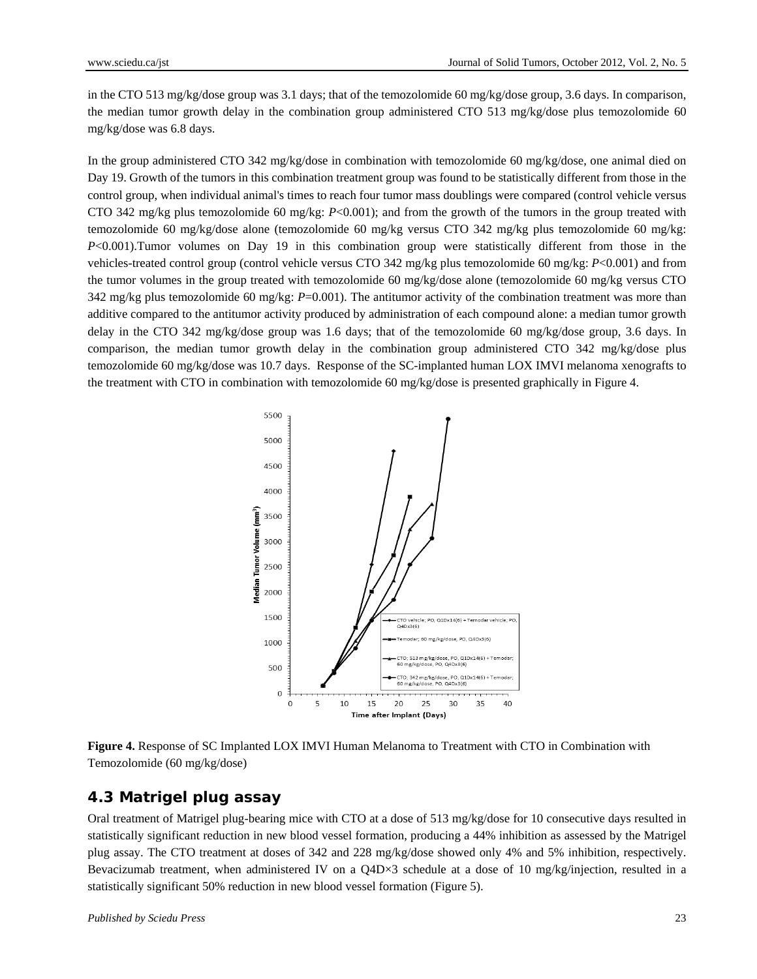in the CTO 513 mg/kg/dose group was 3.1 days; that of the temozolomide 60 mg/kg/dose group, 3.6 days. In comparison, the median tumor growth delay in the combination group administered CTO 513 mg/kg/dose plus temozolomide 60 mg/kg/dose was 6.8 days.

In the group administered CTO 342 mg/kg/dose in combination with temozolomide 60 mg/kg/dose, one animal died on Day 19. Growth of the tumors in this combination treatment group was found to be statistically different from those in the control group, when individual animal's times to reach four tumor mass doublings were compared (control vehicle versus CTO 342 mg/kg plus temozolomide 60 mg/kg: *P*<0.001); and from the growth of the tumors in the group treated with temozolomide 60 mg/kg/dose alone (temozolomide 60 mg/kg versus CTO 342 mg/kg plus temozolomide 60 mg/kg: *P*<0.001).Tumor volumes on Day 19 in this combination group were statistically different from those in the vehicles-treated control group (control vehicle versus CTO 342 mg/kg plus temozolomide 60 mg/kg: *P*<0.001) and from the tumor volumes in the group treated with temozolomide 60 mg/kg/dose alone (temozolomide 60 mg/kg versus CTO 342 mg/kg plus temozolomide 60 mg/kg: *P*=0.001). The antitumor activity of the combination treatment was more than additive compared to the antitumor activity produced by administration of each compound alone: a median tumor growth delay in the CTO 342 mg/kg/dose group was 1.6 days; that of the temozolomide 60 mg/kg/dose group, 3.6 days. In comparison, the median tumor growth delay in the combination group administered CTO 342 mg/kg/dose plus temozolomide 60 mg/kg/dose was 10.7 days. Response of the SC-implanted human LOX IMVI melanoma xenografts to the treatment with CTO in combination with temozolomide 60 mg/kg/dose is presented graphically in Figure 4.





#### **4.3 Matrigel plug assay**

Oral treatment of Matrigel plug-bearing mice with CTO at a dose of 513 mg/kg/dose for 10 consecutive days resulted in statistically significant reduction in new blood vessel formation, producing a 44% inhibition as assessed by the Matrigel plug assay. The CTO treatment at doses of 342 and 228 mg/kg/dose showed only 4% and 5% inhibition, respectively. Bevacizumab treatment, when administered IV on a Q4D×3 schedule at a dose of 10 mg/kg/injection, resulted in a statistically significant 50% reduction in new blood vessel formation (Figure 5).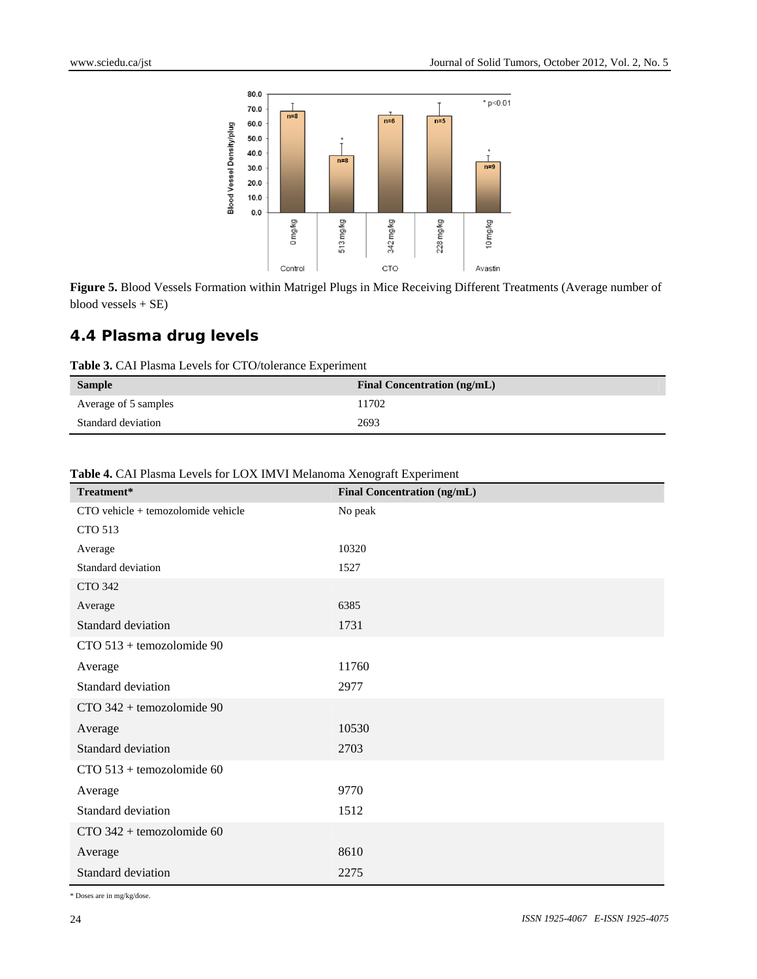

**Figure 5.** Blood Vessels Formation within Matrigel Plugs in Mice Receiving Different Treatments (Average number of blood vessels + SE)

## **4.4 Plasma drug levels**

| Table 3. CAI Plasma Levels for CTO/tolerance Experiment |  |  |  |
|---------------------------------------------------------|--|--|--|
|---------------------------------------------------------|--|--|--|

| <b>Sample</b>        | <b>Final Concentration (ng/mL)</b> |
|----------------------|------------------------------------|
| Average of 5 samples | 11702                              |
| Standard deviation   | 2693                               |

| Treatment*                         | <b>Final Concentration (ng/mL)</b> |
|------------------------------------|------------------------------------|
| CTO vehicle + temozolomide vehicle | No peak                            |
| CTO 513                            |                                    |
| Average                            | 10320                              |
| Standard deviation                 | 1527                               |
| <b>CTO 342</b>                     |                                    |
| Average                            | 6385                               |
| Standard deviation                 | 1731                               |
| CTO 513 + temozolomide 90          |                                    |
| Average                            | 11760                              |
| Standard deviation                 | 2977                               |
| CTO 342 + temozolomide 90          |                                    |
| Average                            | 10530                              |
| Standard deviation                 | 2703                               |
| CTO 513 + temozolomide 60          |                                    |
| Average                            | 9770                               |
| Standard deviation                 | 1512                               |
| CTO 342 + temozolomide 60          |                                    |
| Average                            | 8610                               |
| Standard deviation                 | 2275                               |

**Table 4.** CAI Plasma Levels for LOX IMVI Melanoma Xenograft Experiment

\* Doses are in mg/kg/dose.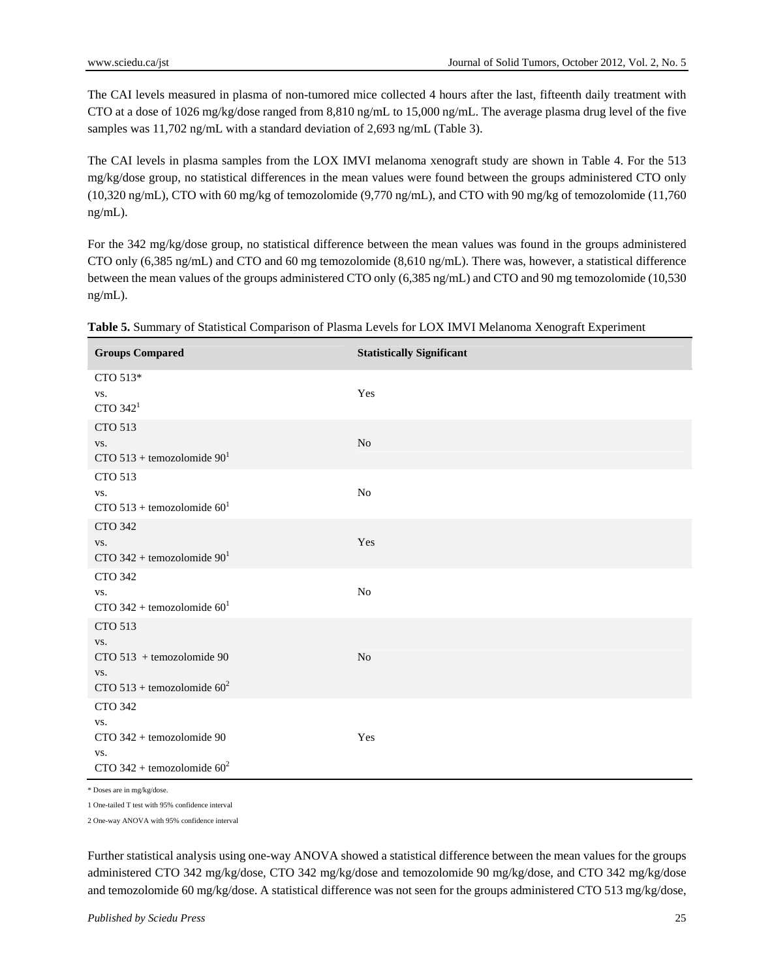The CAI levels measured in plasma of non-tumored mice collected 4 hours after the last, fifteenth daily treatment with CTO at a dose of 1026 mg/kg/dose ranged from 8,810 ng/mL to 15,000 ng/mL. The average plasma drug level of the five samples was 11,702 ng/mL with a standard deviation of 2,693 ng/mL (Table 3).

The CAI levels in plasma samples from the LOX IMVI melanoma xenograft study are shown in Table 4. For the 513 mg/kg/dose group, no statistical differences in the mean values were found between the groups administered CTO only (10,320 ng/mL), CTO with 60 mg/kg of temozolomide (9,770 ng/mL), and CTO with 90 mg/kg of temozolomide (11,760 ng/mL).

For the 342 mg/kg/dose group, no statistical difference between the mean values was found in the groups administered CTO only  $(6,385 \text{ ng/mL})$  and CTO and 60 mg temozolomide  $(8,610 \text{ ng/mL})$ . There was, however, a statistical difference between the mean values of the groups administered CTO only (6,385 ng/mL) and CTO and 90 mg temozolomide (10,530 ng/mL).

| <b>Groups Compared</b>                                                              | <b>Statistically Significant</b> |
|-------------------------------------------------------------------------------------|----------------------------------|
| CTO 513*<br>VS.<br>CTO 342 <sup>1</sup>                                             | Yes                              |
| CTO 513<br>VS.<br>CTO 513 + temozolomide $90^1$                                     | $\rm No$                         |
| CTO 513<br>VS.<br>CTO 513 + temozolomide $60^1$                                     | N <sub>o</sub>                   |
| <b>CTO 342</b><br>VS.<br>CTO 342 + temozolomide $90^1$                              | Yes                              |
| CTO 342<br>VS.<br>CTO 342 + temozolomide $60^1$                                     | N <sub>o</sub>                   |
| CTO 513<br>VS.<br>CTO 513 + temozolomide 90<br>VS.<br>CTO 513 + temozolomide $60^2$ | N <sub>o</sub>                   |
| CTO 342<br>VS.<br>CTO 342 + temozolomide 90<br>VS.<br>CTO 342 + temozolomide $60^2$ | Yes                              |

**Table 5.** Summary of Statistical Comparison of Plasma Levels for LOX IMVI Melanoma Xenograft Experiment

\* Doses are in mg/kg/dose.

1 One-tailed T test with 95% confidence interval

2 One-way ANOVA with 95% confidence interval

Further statistical analysis using one-way ANOVA showed a statistical difference between the mean values for the groups administered CTO 342 mg/kg/dose, CTO 342 mg/kg/dose and temozolomide 90 mg/kg/dose, and CTO 342 mg/kg/dose and temozolomide 60 mg/kg/dose. A statistical difference was not seen for the groups administered CTO 513 mg/kg/dose,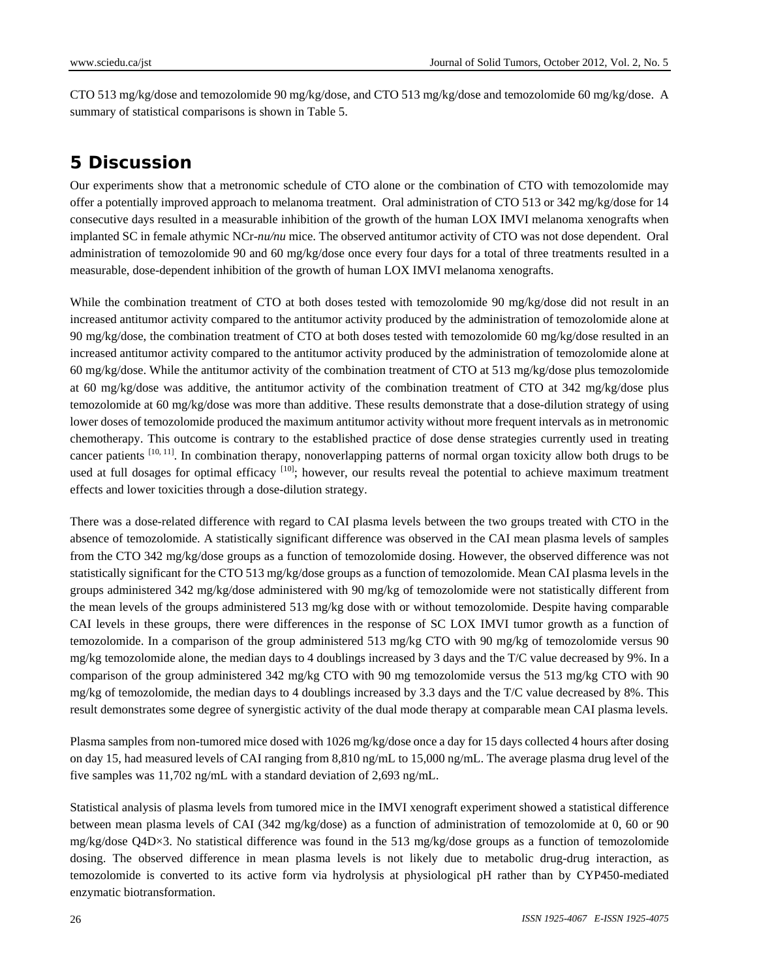CTO 513 mg/kg/dose and temozolomide 90 mg/kg/dose, and CTO 513 mg/kg/dose and temozolomide 60 mg/kg/dose. A summary of statistical comparisons is shown in Table 5.

## **5 Discussion**

Our experiments show that a metronomic schedule of CTO alone or the combination of CTO with temozolomide may offer a potentially improved approach to melanoma treatment. Oral administration of CTO 513 or 342 mg/kg/dose for 14 consecutive days resulted in a measurable inhibition of the growth of the human LOX IMVI melanoma xenografts when implanted SC in female athymic NCr-*nu/nu* mice. The observed antitumor activity of CTO was not dose dependent. Oral administration of temozolomide 90 and 60 mg/kg/dose once every four days for a total of three treatments resulted in a measurable, dose-dependent inhibition of the growth of human LOX IMVI melanoma xenografts.

While the combination treatment of CTO at both doses tested with temozolomide 90 mg/kg/dose did not result in an increased antitumor activity compared to the antitumor activity produced by the administration of temozolomide alone at 90 mg/kg/dose, the combination treatment of CTO at both doses tested with temozolomide 60 mg/kg/dose resulted in an increased antitumor activity compared to the antitumor activity produced by the administration of temozolomide alone at 60 mg/kg/dose. While the antitumor activity of the combination treatment of CTO at 513 mg/kg/dose plus temozolomide at 60 mg/kg/dose was additive, the antitumor activity of the combination treatment of CTO at 342 mg/kg/dose plus temozolomide at 60 mg/kg/dose was more than additive. These results demonstrate that a dose-dilution strategy of using lower doses of temozolomide produced the maximum antitumor activity without more frequent intervals as in metronomic chemotherapy. This outcome is contrary to the established practice of dose dense strategies currently used in treating cancer patients [10, 11]. In combination therapy, nonoverlapping patterns of normal organ toxicity allow both drugs to be used at full dosages for optimal efficacy <sup>[10]</sup>; however, our results reveal the potential to achieve maximum treatment effects and lower toxicities through a dose-dilution strategy.

There was a dose-related difference with regard to CAI plasma levels between the two groups treated with CTO in the absence of temozolomide. A statistically significant difference was observed in the CAI mean plasma levels of samples from the CTO 342 mg/kg/dose groups as a function of temozolomide dosing. However, the observed difference was not statistically significant for the CTO 513 mg/kg/dose groups as a function of temozolomide. Mean CAI plasma levels in the groups administered 342 mg/kg/dose administered with 90 mg/kg of temozolomide were not statistically different from the mean levels of the groups administered 513 mg/kg dose with or without temozolomide. Despite having comparable CAI levels in these groups, there were differences in the response of SC LOX IMVI tumor growth as a function of temozolomide. In a comparison of the group administered 513 mg/kg CTO with 90 mg/kg of temozolomide versus 90 mg/kg temozolomide alone, the median days to 4 doublings increased by 3 days and the T/C value decreased by 9%. In a comparison of the group administered 342 mg/kg CTO with 90 mg temozolomide versus the 513 mg/kg CTO with 90 mg/kg of temozolomide, the median days to 4 doublings increased by 3.3 days and the T/C value decreased by 8%. This result demonstrates some degree of synergistic activity of the dual mode therapy at comparable mean CAI plasma levels.

Plasma samples from non-tumored mice dosed with 1026 mg/kg/dose once a day for 15 days collected 4 hours after dosing on day 15, had measured levels of CAI ranging from 8,810 ng/mL to 15,000 ng/mL. The average plasma drug level of the five samples was 11,702 ng/mL with a standard deviation of 2,693 ng/mL.

Statistical analysis of plasma levels from tumored mice in the IMVI xenograft experiment showed a statistical difference between mean plasma levels of CAI (342 mg/kg/dose) as a function of administration of temozolomide at 0, 60 or 90 mg/kg/dose Q4D×3. No statistical difference was found in the 513 mg/kg/dose groups as a function of temozolomide dosing. The observed difference in mean plasma levels is not likely due to metabolic drug-drug interaction, as temozolomide is converted to its active form via hydrolysis at physiological pH rather than by CYP450-mediated enzymatic biotransformation.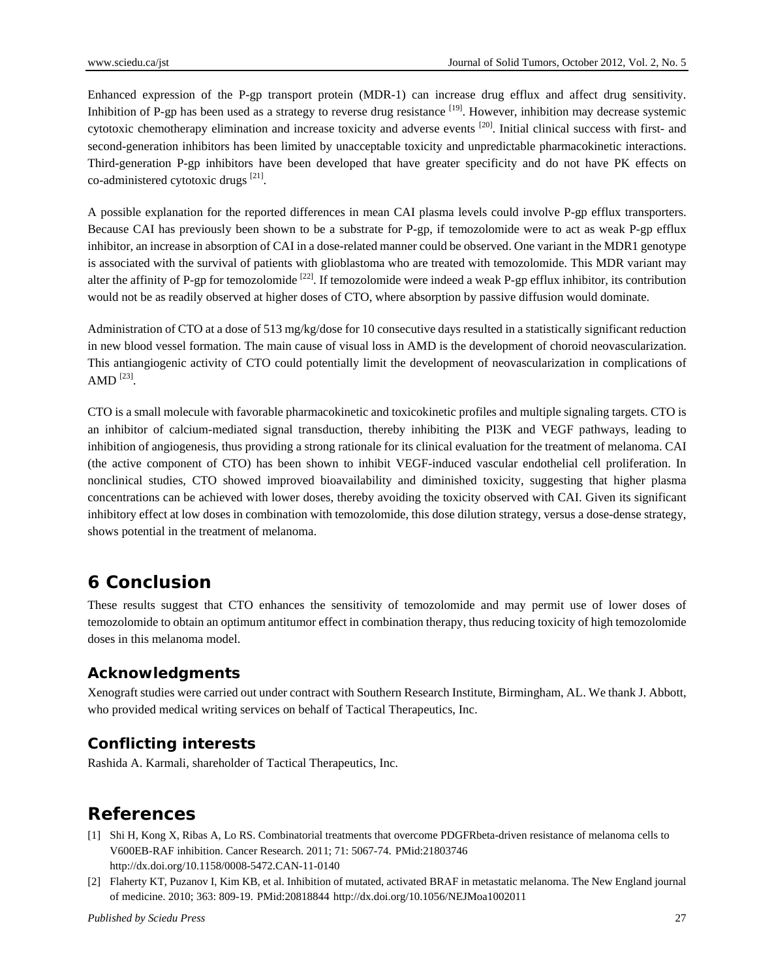Enhanced expression of the P-gp transport protein (MDR-1) can increase drug efflux and affect drug sensitivity. Inhibition of P-gp has been used as a strategy to reverse drug resistance  $[19]$ . However, inhibition may decrease systemic cytotoxic chemotherapy elimination and increase toxicity and adverse events  $^{[20]}$ . Initial clinical success with first- and second-generation inhibitors has been limited by unacceptable toxicity and unpredictable pharmacokinetic interactions. Third-generation P-gp inhibitors have been developed that have greater specificity and do not have PK effects on co-administered cytotoxic drugs  $[21]$ .

A possible explanation for the reported differences in mean CAI plasma levels could involve P-gp efflux transporters. Because CAI has previously been shown to be a substrate for P-gp, if temozolomide were to act as weak P-gp efflux inhibitor, an increase in absorption of CAI in a dose-related manner could be observed. One variant in the MDR1 genotype is associated with the survival of patients with glioblastoma who are treated with temozolomide. This MDR variant may alter the affinity of P-gp for temozolomide  $[22]$ . If temozolomide were indeed a weak P-gp efflux inhibitor, its contribution would not be as readily observed at higher doses of CTO, where absorption by passive diffusion would dominate.

Administration of CTO at a dose of 513 mg/kg/dose for 10 consecutive days resulted in a statistically significant reduction in new blood vessel formation. The main cause of visual loss in AMD is the development of choroid neovascularization. This antiangiogenic activity of CTO could potentially limit the development of neovascularization in complications of AMD $^{[23]}$ .

CTO is a small molecule with favorable pharmacokinetic and toxicokinetic profiles and multiple signaling targets. CTO is an inhibitor of calcium-mediated signal transduction, thereby inhibiting the PI3K and VEGF pathways, leading to inhibition of angiogenesis, thus providing a strong rationale for its clinical evaluation for the treatment of melanoma. CAI (the active component of CTO) has been shown to inhibit VEGF-induced vascular endothelial cell proliferation. In nonclinical studies, CTO showed improved bioavailability and diminished toxicity, suggesting that higher plasma concentrations can be achieved with lower doses, thereby avoiding the toxicity observed with CAI. Given its significant inhibitory effect at low doses in combination with temozolomide, this dose dilution strategy, versus a dose-dense strategy, shows potential in the treatment of melanoma.

## **6 Conclusion**

These results suggest that CTO enhances the sensitivity of temozolomide and may permit use of lower doses of temozolomide to obtain an optimum antitumor effect in combination therapy, thus reducing toxicity of high temozolomide doses in this melanoma model.

### **Acknowledgments**

Xenograft studies were carried out under contract with Southern Research Institute, Birmingham, AL. We thank J. Abbott, who provided medical writing services on behalf of Tactical Therapeutics, Inc.

### **Conflicting interests**

Rashida A. Karmali, shareholder of Tactical Therapeutics, Inc.

## **References**

- [1] Shi H, Kong X, Ribas A, Lo RS. Combinatorial treatments that overcome PDGFRbeta-driven resistance of melanoma cells to V600EB-RAF inhibition. Cancer Research. 2011; 71: 5067-74. PMid:21803746 http://dx.doi.org/10.1158/0008-5472.CAN-11-0140
- [2] Flaherty KT, Puzanov I, Kim KB, et al. Inhibition of mutated, activated BRAF in metastatic melanoma. The New England journal of medicine. 2010; 363: 809-19. PMid:20818844 http://dx.doi.org/10.1056/NEJMoa1002011